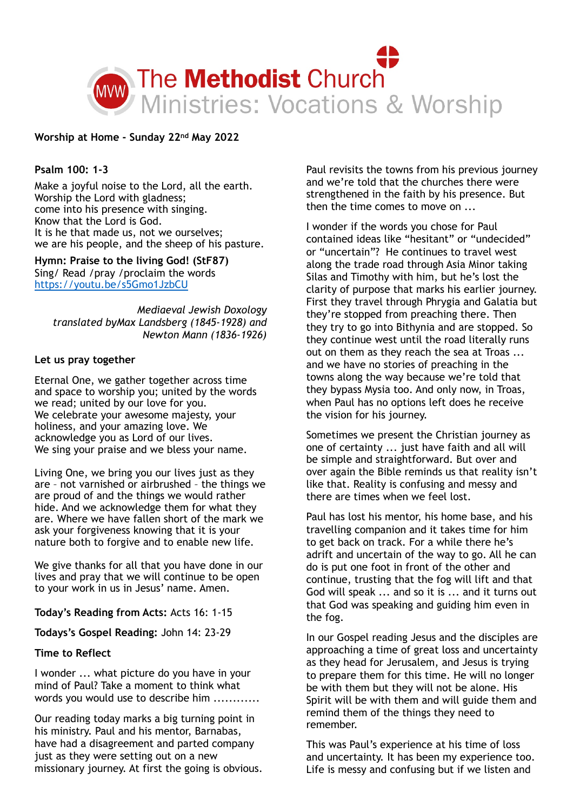

**Worship at Home - Sunday 22nd May 2022** 

## **Psalm 100: 1-3**

Make a joyful noise to the Lord, all the earth. Worship the Lord with gladness; come into his presence with singing. Know that the Lord is God. It is he that made us, not we ourselves; we are his people, and the sheep of his pasture.

**Hymn: Praise to the living God! (StF87)** Sing/ Read /pray /proclaim the words <https://youtu.be/s5Gmo1JzbCU>

*Mediaeval Jewish Doxology translated byMax Landsberg (1845-1928) and Newton Mann (1836-1926)* 

## **Let us pray together**

Eternal One, we gather together across time and space to worship you; united by the words we read; united by our love for you. We celebrate your awesome majesty, your holiness, and your amazing love. We acknowledge you as Lord of our lives. We sing your praise and we bless your name.

Living One, we bring you our lives just as they are – not varnished or airbrushed – the things we are proud of and the things we would rather hide. And we acknowledge them for what they are. Where we have fallen short of the mark we ask your forgiveness knowing that it is your nature both to forgive and to enable new life.

We give thanks for all that you have done in our lives and pray that we will continue to be open to your work in us in Jesus' name. Amen.

**Today's Reading from Acts:** Acts 16: 1-15

**Todays's Gospel Reading:** John 14: 23-29

## **Time to Reflect**

I wonder ... what picture do you have in your mind of Paul? Take a moment to think what words you would use to describe him ............

Our reading today marks a big turning point in his ministry. Paul and his mentor, Barnabas, have had a disagreement and parted company just as they were setting out on a new missionary journey. At first the going is obvious. Paul revisits the towns from his previous journey and we're told that the churches there were strengthened in the faith by his presence. But then the time comes to move on ...

I wonder if the words you chose for Paul contained ideas like "hesitant" or "undecided" or "uncertain"? He continues to travel west along the trade road through Asia Minor taking Silas and Timothy with him, but he's lost the clarity of purpose that marks his earlier journey. First they travel through Phrygia and Galatia but they're stopped from preaching there. Then they try to go into Bithynia and are stopped. So they continue west until the road literally runs out on them as they reach the sea at Troas ... and we have no stories of preaching in the towns along the way because we're told that they bypass Mysia too. And only now, in Troas, when Paul has no options left does he receive the vision for his journey.

Sometimes we present the Christian journey as one of certainty ... just have faith and all will be simple and straightforward. But over and over again the Bible reminds us that reality isn't like that. Reality is confusing and messy and there are times when we feel lost.

Paul has lost his mentor, his home base, and his travelling companion and it takes time for him to get back on track. For a while there he's adrift and uncertain of the way to go. All he can do is put one foot in front of the other and continue, trusting that the fog will lift and that God will speak ... and so it is ... and it turns out that God was speaking and guiding him even in the fog.

In our Gospel reading Jesus and the disciples are approaching a time of great loss and uncertainty as they head for Jerusalem, and Jesus is trying to prepare them for this time. He will no longer be with them but they will not be alone. His Spirit will be with them and will guide them and remind them of the things they need to remember.

This was Paul's experience at his time of loss and uncertainty. It has been my experience too. Life is messy and confusing but if we listen and